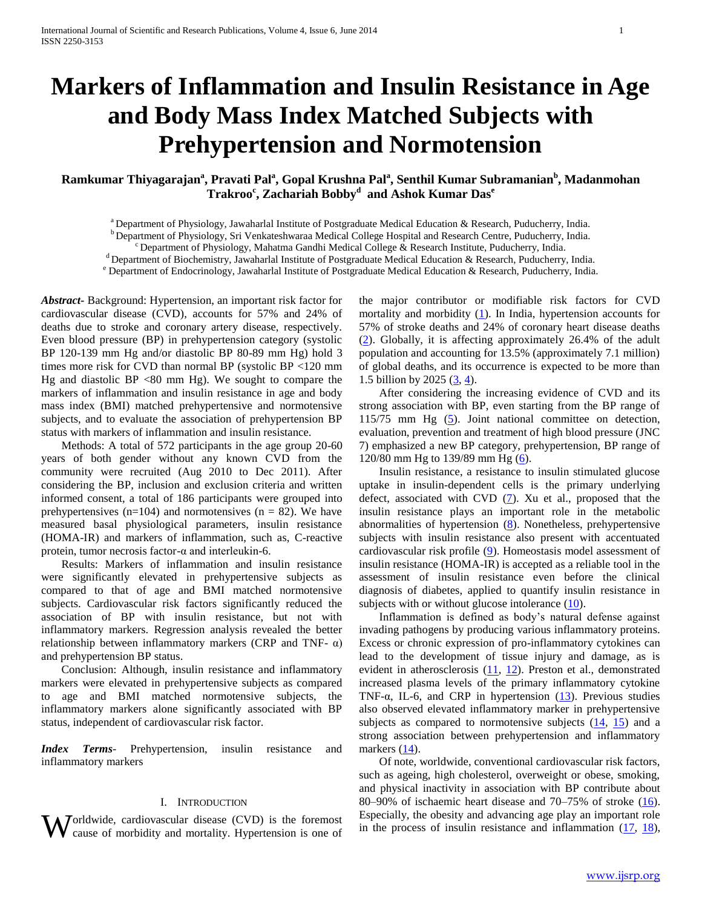# **Markers of Inflammation and Insulin Resistance in Age and Body Mass Index Matched Subjects with Prehypertension and Normotension**

# **Ramkumar Thiyagarajan<sup>a</sup> , Pravati Pal<sup>a</sup> , Gopal Krushna Pal<sup>a</sup> , Senthil Kumar Subramanian<sup>b</sup> , Madanmohan Trakroo<sup>c</sup> , Zachariah Bobby<sup>d</sup> and Ashok Kumar Das<sup>e</sup>**

<sup>a</sup> Department of Physiology, Jawaharlal Institute of Postgraduate Medical Education & Research, Puducherry, India.

<sup>b</sup> Department of Physiology, Sri Venkateshwaraa Medical College Hospital and Research Centre, Puducherry, India.

 $c^c$ Department of Physiology, Mahatma Gandhi Medical College & Research Institute, Puducherry, India.

 $d$  Department of Biochemistry, Jawaharlal Institute of Postgraduate Medical Education & Research, Puducherry, India.

<sup>e</sup> Department of Endocrinology, Jawaharlal Institute of Postgraduate Medical Education & Research, Puducherry, India.

*Abstract***-** Background: Hypertension, an important risk factor for cardiovascular disease (CVD), accounts for 57% and 24% of deaths due to stroke and coronary artery disease, respectively. Even blood pressure (BP) in prehypertension category (systolic BP 120-139 mm Hg and/or diastolic BP 80-89 mm Hg) hold 3 times more risk for CVD than normal BP (systolic BP <120 mm Hg and diastolic  $BP < 80$  mm Hg). We sought to compare the markers of inflammation and insulin resistance in age and body mass index (BMI) matched prehypertensive and normotensive subjects, and to evaluate the association of prehypertension BP status with markers of inflammation and insulin resistance.

 Methods: A total of 572 participants in the age group 20-60 years of both gender without any known CVD from the community were recruited (Aug 2010 to Dec 2011). After considering the BP, inclusion and exclusion criteria and written informed consent, a total of 186 participants were grouped into prehypertensives ( $n=104$ ) and normotensives ( $n = 82$ ). We have measured basal physiological parameters, insulin resistance (HOMA-IR) and markers of inflammation, such as, C-reactive protein, tumor necrosis factor- $\alpha$  and interleukin-6.

 Results: Markers of inflammation and insulin resistance were significantly elevated in prehypertensive subjects as compared to that of age and BMI matched normotensive subjects. Cardiovascular risk factors significantly reduced the association of BP with insulin resistance, but not with inflammatory markers. Regression analysis revealed the better relationship between inflammatory markers (CRP and TNF- $\alpha$ ) and prehypertension BP status.

 Conclusion: Although, insulin resistance and inflammatory markers were elevated in prehypertensive subjects as compared to age and BMI matched normotensive subjects, the inflammatory markers alone significantly associated with BP status, independent of cardiovascular risk factor.

*Index Terms*- Prehypertension, insulin resistance and inflammatory markers

#### I. INTRODUCTION

**W** orldwide, cardiovascular disease (CVD) is the foremost Especially, the obesity and advancing age play an important role in the process of insulin resistance and inflammation  $(17, 18)$ , cause of morbidity and mortality. Hypertension is one of

the major contributor or modifiable risk factors for CVD mortality and morbidity  $(1)$ . In India, hypertension accounts for 57% of stroke deaths and 24% of coronary heart disease deaths (2). Globally, it is affecting approximately 26.4% of the adult population and accounting for 13.5% (approximately 7.1 million) of global deaths, and its occurrence is expected to be more than 1.5 billion by 2025 (3, 4).

 After considering the increasing evidence of CVD and its strong association with BP, even starting from the BP range of 115/75 mm Hg (5). Joint national committee on detection, evaluation, prevention and treatment of high blood pressure (JNC 7) emphasized a new BP category, prehypertension, BP range of 120/80 mm Hg to 139/89 mm Hg (6).

 Insulin resistance, a resistance to insulin stimulated glucose uptake in insulin-dependent cells is the primary underlying defect, associated with CVD  $(7)$ . Xu et al., proposed that the insulin resistance plays an important role in the metabolic abnormalities of hypertension (8). Nonetheless, prehypertensive subjects with insulin resistance also present with accentuated cardiovascular risk profile (9). Homeostasis model assessment of insulin resistance (HOMA-IR) is accepted as a reliable tool in the assessment of insulin resistance even before the clinical diagnosis of diabetes, applied to quantify insulin resistance in subjects with or without glucose intolerance (10).

 Inflammation is defined as body's natural defense against invading pathogens by producing various inflammatory proteins. Excess or chronic expression of pro-inflammatory cytokines can lead to the development of tissue injury and damage, as is evident in atherosclerosis (11, 12). Preston et al., demonstrated increased plasma levels of the primary inflammatory cytokine TNF- $\alpha$ , IL-6, and CRP in hypertension  $(13)$ . Previous studies also observed elevated inflammatory marker in prehypertensive subjects as compared to normotensive subjects  $(14, 15)$  and a strong association between prehypertension and inflammatory markers  $(14)$ .

 Of note, worldwide, conventional cardiovascular risk factors, such as ageing, high cholesterol, overweight or obese, smoking, and physical inactivity in association with BP contribute about 80–90% of ischaemic heart disease and  $70-75%$  of stroke  $(16)$ .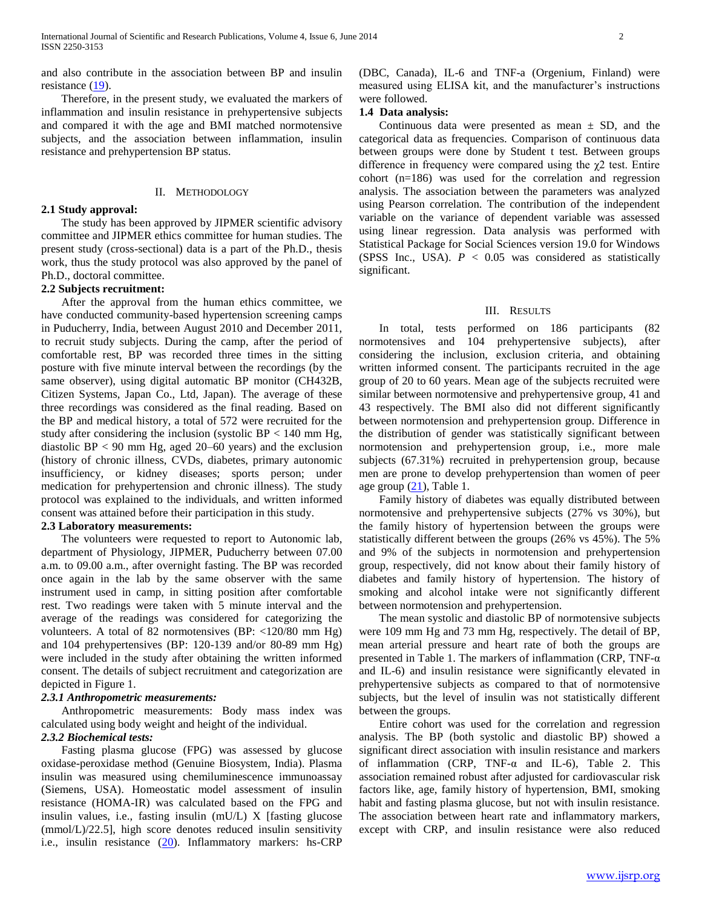and also contribute in the association between BP and insulin resistance (19).

 Therefore, in the present study, we evaluated the markers of inflammation and insulin resistance in prehypertensive subjects and compared it with the age and BMI matched normotensive subjects, and the association between inflammation, insulin resistance and prehypertension BP status.

## II. METHODOLOGY

#### **2.1 Study approval:**

 The study has been approved by JIPMER scientific advisory committee and JIPMER ethics committee for human studies. The present study (cross-sectional) data is a part of the Ph.D., thesis work, thus the study protocol was also approved by the panel of Ph.D., doctoral committee.

#### **2.2 Subjects recruitment:**

 After the approval from the human ethics committee, we have conducted community-based hypertension screening camps in Puducherry, India, between August 2010 and December 2011, to recruit study subjects. During the camp, after the period of comfortable rest, BP was recorded three times in the sitting posture with five minute interval between the recordings (by the same observer), using digital automatic BP monitor (CH432B, Citizen Systems, Japan Co., Ltd, Japan). The average of these three recordings was considered as the final reading. Based on the BP and medical history, a total of 572 were recruited for the study after considering the inclusion (systolic  $BP < 140$  mm Hg, diastolic BP < 90 mm Hg, aged 20–60 years) and the exclusion (history of chronic illness, CVDs, diabetes, primary autonomic insufficiency, or kidney diseases; sports person; under medication for prehypertension and chronic illness). The study protocol was explained to the individuals, and written informed consent was attained before their participation in this study.

## **2.3 Laboratory measurements:**

 The volunteers were requested to report to Autonomic lab, department of Physiology, JIPMER, Puducherry between 07.00 a.m. to 09.00 a.m., after overnight fasting. The BP was recorded once again in the lab by the same observer with the same instrument used in camp, in sitting position after comfortable rest. Two readings were taken with 5 minute interval and the average of the readings was considered for categorizing the volunteers. A total of 82 normotensives (BP: <120/80 mm Hg) and 104 prehypertensives (BP: 120-139 and/or 80-89 mm Hg) were included in the study after obtaining the written informed consent. The details of subject recruitment and categorization are depicted in Figure 1.

## *2.3.1 Anthropometric measurements:*

 Anthropometric measurements: Body mass index was calculated using body weight and height of the individual.

## *2.3.2 Biochemical tests:*

 Fasting plasma glucose (FPG) was assessed by glucose oxidase-peroxidase method (Genuine Biosystem, India). Plasma insulin was measured using chemiluminescence immunoassay (Siemens, USA). Homeostatic model assessment of insulin resistance (HOMA-IR) was calculated based on the FPG and insulin values, i.e., fasting insulin (mU/L) X [fasting glucose (mmol/L)/22.5], high score denotes reduced insulin sensitivity i.e., insulin resistance (20). Inflammatory markers: hs-CRP

(DBC, Canada), IL-6 and TNF-a (Orgenium, Finland) were measured using ELISA kit, and the manufacturer's instructions were followed.

#### **1.4 Data analysis:**

Continuous data were presented as mean  $\pm$  SD, and the categorical data as frequencies. Comparison of continuous data between groups were done by Student t test. Between groups difference in frequency were compared using the  $\chi$ <sup>2</sup> test. Entire cohort (n=186) was used for the correlation and regression analysis. The association between the parameters was analyzed using Pearson correlation. The contribution of the independent variable on the variance of dependent variable was assessed using linear regression. Data analysis was performed with Statistical Package for Social Sciences version 19.0 for Windows (SPSS Inc., USA).  $P < 0.05$  was considered as statistically significant.

#### III. RESULTS

 In total, tests performed on 186 participants (82 normotensives and 104 prehypertensive subjects), after considering the inclusion, exclusion criteria, and obtaining written informed consent. The participants recruited in the age group of 20 to 60 years. Mean age of the subjects recruited were similar between normotensive and prehypertensive group, 41 and 43 respectively. The BMI also did not different significantly between normotension and prehypertension group. Difference in the distribution of gender was statistically significant between normotension and prehypertension group, i.e., more male subjects (67.31%) recruited in prehypertension group, because men are prone to develop prehypertension than women of peer age group  $(21)$ , Table 1.

 Family history of diabetes was equally distributed between normotensive and prehypertensive subjects (27% vs 30%), but the family history of hypertension between the groups were statistically different between the groups (26% vs 45%). The 5% and 9% of the subjects in normotension and prehypertension group, respectively, did not know about their family history of diabetes and family history of hypertension. The history of smoking and alcohol intake were not significantly different between normotension and prehypertension.

 The mean systolic and diastolic BP of normotensive subjects were 109 mm Hg and 73 mm Hg, respectively. The detail of BP, mean arterial pressure and heart rate of both the groups are presented in Table 1. The markers of inflammation (CRP, TNF- $\alpha$ ) and IL-6) and insulin resistance were significantly elevated in prehypertensive subjects as compared to that of normotensive subjects, but the level of insulin was not statistically different between the groups.

 Entire cohort was used for the correlation and regression analysis. The BP (both systolic and diastolic BP) showed a significant direct association with insulin resistance and markers of inflammation (CRP, TNF-α and IL-6), Table 2. This association remained robust after adjusted for cardiovascular risk factors like, age, family history of hypertension, BMI, smoking habit and fasting plasma glucose, but not with insulin resistance. The association between heart rate and inflammatory markers, except with CRP, and insulin resistance were also reduced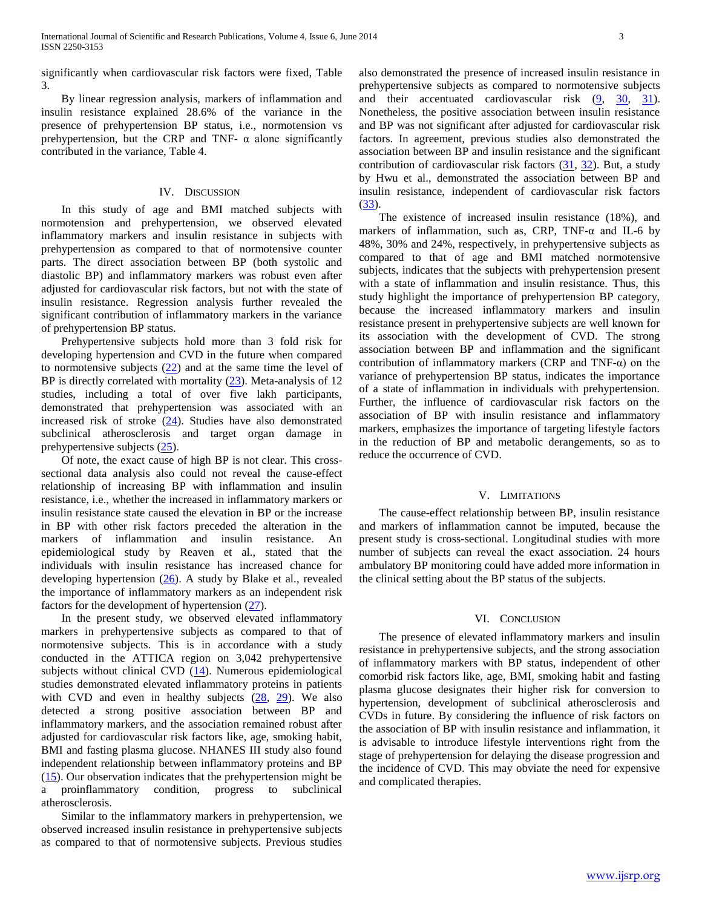significantly when cardiovascular risk factors were fixed, Table 3.

 By linear regression analysis, markers of inflammation and insulin resistance explained 28.6% of the variance in the presence of prehypertension BP status, i.e., normotension vs prehypertension, but the CRP and TNF-  $\alpha$  alone significantly contributed in the variance, Table 4.

#### IV. DISCUSSION

 In this study of age and BMI matched subjects with normotension and prehypertension, we observed elevated inflammatory markers and insulin resistance in subjects with prehypertension as compared to that of normotensive counter parts. The direct association between BP (both systolic and diastolic BP) and inflammatory markers was robust even after adjusted for cardiovascular risk factors, but not with the state of insulin resistance. Regression analysis further revealed the significant contribution of inflammatory markers in the variance of prehypertension BP status.

 Prehypertensive subjects hold more than 3 fold risk for developing hypertension and CVD in the future when compared to normotensive subjects  $(22)$  and at the same time the level of BP is directly correlated with mortality  $(23)$ . Meta-analysis of 12 studies, including a total of over five lakh participants, demonstrated that prehypertension was associated with an increased risk of stroke (24). Studies have also demonstrated subclinical atherosclerosis and target organ damage in prehypertensive subjects (25).

 Of note, the exact cause of high BP is not clear. This crosssectional data analysis also could not reveal the cause-effect relationship of increasing BP with inflammation and insulin resistance, i.e., whether the increased in inflammatory markers or insulin resistance state caused the elevation in BP or the increase in BP with other risk factors preceded the alteration in the markers of inflammation and insulin resistance. An epidemiological study by Reaven et al., stated that the individuals with insulin resistance has increased chance for developing hypertension (26). A study by Blake et al., revealed the importance of inflammatory markers as an independent risk factors for the development of hypertension (27).

 In the present study, we observed elevated inflammatory markers in prehypertensive subjects as compared to that of normotensive subjects. This is in accordance with a study conducted in the ATTICA region on 3,042 prehypertensive subjects without clinical CVD (14). Numerous epidemiological studies demonstrated elevated inflammatory proteins in patients with CVD and even in healthy subjects  $(28, 29)$ . We also detected a strong positive association between BP and inflammatory markers, and the association remained robust after adjusted for cardiovascular risk factors like, age, smoking habit, BMI and fasting plasma glucose. NHANES III study also found independent relationship between inflammatory proteins and BP (15). Our observation indicates that the prehypertension might be a proinflammatory condition, progress to subclinical atherosclerosis.

 Similar to the inflammatory markers in prehypertension, we observed increased insulin resistance in prehypertensive subjects as compared to that of normotensive subjects. Previous studies also demonstrated the presence of increased insulin resistance in prehypertensive subjects as compared to normotensive subjects and their accentuated cardiovascular risk (9, 30, 31). Nonetheless, the positive association between insulin resistance and BP was not significant after adjusted for cardiovascular risk factors. In agreement, previous studies also demonstrated the association between BP and insulin resistance and the significant contribution of cardiovascular risk factors (31, 32). But, a study by Hwu et al., demonstrated the association between BP and insulin resistance, independent of cardiovascular risk factors (33).

 The existence of increased insulin resistance (18%), and markers of inflammation, such as, CRP, TNF- $\alpha$  and IL-6 by 48%, 30% and 24%, respectively, in prehypertensive subjects as compared to that of age and BMI matched normotensive subjects, indicates that the subjects with prehypertension present with a state of inflammation and insulin resistance. Thus, this study highlight the importance of prehypertension BP category, because the increased inflammatory markers and insulin resistance present in prehypertensive subjects are well known for its association with the development of CVD. The strong association between BP and inflammation and the significant contribution of inflammatory markers (CRP and TNF-α) on the variance of prehypertension BP status, indicates the importance of a state of inflammation in individuals with prehypertension. Further, the influence of cardiovascular risk factors on the association of BP with insulin resistance and inflammatory markers, emphasizes the importance of targeting lifestyle factors in the reduction of BP and metabolic derangements, so as to reduce the occurrence of CVD.

#### V. LIMITATIONS

 The cause-effect relationship between BP, insulin resistance and markers of inflammation cannot be imputed, because the present study is cross-sectional. Longitudinal studies with more number of subjects can reveal the exact association. 24 hours ambulatory BP monitoring could have added more information in the clinical setting about the BP status of the subjects.

## VI. CONCLUSION

 The presence of elevated inflammatory markers and insulin resistance in prehypertensive subjects, and the strong association of inflammatory markers with BP status, independent of other comorbid risk factors like, age, BMI, smoking habit and fasting plasma glucose designates their higher risk for conversion to hypertension, development of subclinical atherosclerosis and CVDs in future. By considering the influence of risk factors on the association of BP with insulin resistance and inflammation, it is advisable to introduce lifestyle interventions right from the stage of prehypertension for delaying the disease progression and the incidence of CVD. This may obviate the need for expensive and complicated therapies.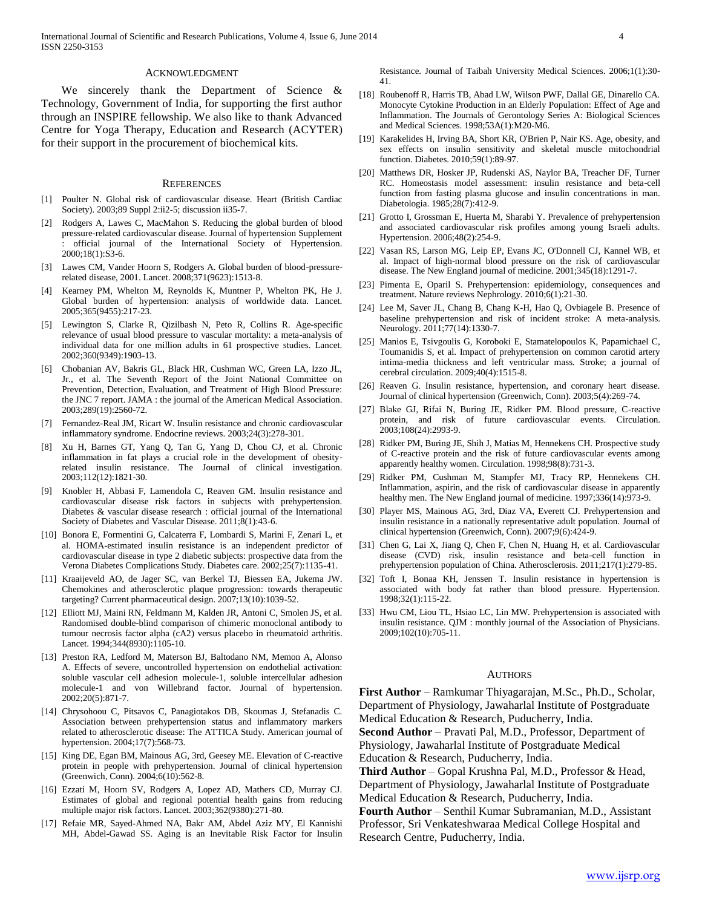#### ACKNOWLEDGMENT

We sincerely thank the Department of Science & Technology, Government of India, for supporting the first author through an INSPIRE fellowship. We also like to thank Advanced Centre for Yoga Therapy, Education and Research (ACYTER) for their support in the procurement of biochemical kits.

#### **REFERENCES**

- [1] Poulter N. Global risk of cardiovascular disease. Heart (British Cardiac Society). 2003;89 Suppl 2:ii2-5; discussion ii35-7.
- [2] Rodgers A, Lawes C, MacMahon S. Reducing the global burden of blood pressure-related cardiovascular disease. Journal of hypertension Supplement : official journal of the International Society of Hypertension. 2000;18(1):S3-6.
- [3] Lawes CM, Vander Hoorn S, Rodgers A. Global burden of blood-pressurerelated disease, 2001. Lancet. 2008;371(9623):1513-8.
- [4] Kearney PM, Whelton M, Reynolds K, Muntner P, Whelton PK, He J. Global burden of hypertension: analysis of worldwide data. Lancet. 2005;365(9455):217-23.
- [5] Lewington S, Clarke R, Qizilbash N, Peto R, Collins R. Age-specific relevance of usual blood pressure to vascular mortality: a meta-analysis of individual data for one million adults in 61 prospective studies. Lancet. 2002;360(9349):1903-13.
- [6] Chobanian AV, Bakris GL, Black HR, Cushman WC, Green LA, Izzo JL, Jr., et al. The Seventh Report of the Joint National Committee on Prevention, Detection, Evaluation, and Treatment of High Blood Pressure: the JNC 7 report. JAMA : the journal of the American Medical Association. 2003;289(19):2560-72.
- [7] Fernandez-Real JM, Ricart W. Insulin resistance and chronic cardiovascular inflammatory syndrome. Endocrine reviews. 2003;24(3):278-301.
- [8] Xu H, Barnes GT, Yang Q, Tan G, Yang D, Chou CJ, et al. Chronic inflammation in fat plays a crucial role in the development of obesityrelated insulin resistance. The Journal of clinical investigation. 2003;112(12):1821-30.
- [9] Knobler H, Abbasi F, Lamendola C, Reaven GM. Insulin resistance and cardiovascular disease risk factors in subjects with prehypertension. Diabetes & vascular disease research : official journal of the International Society of Diabetes and Vascular Disease. 2011;8(1):43-6.
- [10] Bonora E, Formentini G, Calcaterra F, Lombardi S, Marini F, Zenari L, et al. HOMA-estimated insulin resistance is an independent predictor of cardiovascular disease in type 2 diabetic subjects: prospective data from the Verona Diabetes Complications Study. Diabetes care. 2002;25(7):1135-41.
- [11] Kraaijeveld AO, de Jager SC, van Berkel TJ, Biessen EA, Jukema JW. Chemokines and atherosclerotic plaque progression: towards therapeutic targeting? Current pharmaceutical design. 2007;13(10):1039-52.
- [12] Elliott MJ, Maini RN, Feldmann M, Kalden JR, Antoni C, Smolen JS, et al. Randomised double-blind comparison of chimeric monoclonal antibody to tumour necrosis factor alpha (cA2) versus placebo in rheumatoid arthritis. Lancet. 1994;344(8930):1105-10.
- [13] Preston RA, Ledford M, Materson BJ, Baltodano NM, Memon A, Alonso A. Effects of severe, uncontrolled hypertension on endothelial activation: soluble vascular cell adhesion molecule-1, soluble intercellular adhesion molecule-1 and von Willebrand factor. Journal of hypertension. 2002;20(5):871-7.
- [14] Chrysohoou C, Pitsavos C, Panagiotakos DB, Skoumas J, Stefanadis C. Association between prehypertension status and inflammatory markers related to atherosclerotic disease: The ATTICA Study. American journal of hypertension. 2004;17(7):568-73.
- [15] King DE, Egan BM, Mainous AG, 3rd, Geesey ME. Elevation of C-reactive protein in people with prehypertension. Journal of clinical hypertension (Greenwich, Conn). 2004;6(10):562-8.
- [16] Ezzati M, Hoorn SV, Rodgers A, Lopez AD, Mathers CD, Murray CJ. Estimates of global and regional potential health gains from reducing multiple major risk factors. Lancet. 2003;362(9380):271-80.
- [17] Refaie MR, Sayed-Ahmed NA, Bakr AM, Abdel Aziz MY, El Kannishi MH, Abdel-Gawad SS. Aging is an Inevitable Risk Factor for Insulin

Resistance. Journal of Taibah University Medical Sciences. 2006;1(1):30- 41.

- [18] Roubenoff R, Harris TB, Abad LW, Wilson PWF, Dallal GE, Dinarello CA. Monocyte Cytokine Production in an Elderly Population: Effect of Age and Inflammation. The Journals of Gerontology Series A: Biological Sciences and Medical Sciences. 1998;53A(1):M20-M6.
- [19] Karakelides H, Irving BA, Short KR, O'Brien P, Nair KS. Age, obesity, and sex effects on insulin sensitivity and skeletal muscle mitochondrial function. Diabetes. 2010;59(1):89-97.
- [20] Matthews DR, Hosker JP, Rudenski AS, Naylor BA, Treacher DF, Turner RC. Homeostasis model assessment: insulin resistance and beta-cell function from fasting plasma glucose and insulin concentrations in man. Diabetologia. 1985;28(7):412-9.
- [21] Grotto I, Grossman E, Huerta M, Sharabi Y. Prevalence of prehypertension and associated cardiovascular risk profiles among young Israeli adults. Hypertension. 2006;48(2):254-9.
- [22] Vasan RS, Larson MG, Leip EP, Evans JC, O'Donnell CJ, Kannel WB, et al. Impact of high-normal blood pressure on the risk of cardiovascular disease. The New England journal of medicine. 2001;345(18):1291-7.
- [23] Pimenta E, Oparil S. Prehypertension: epidemiology, consequences and treatment. Nature reviews Nephrology. 2010;6(1):21-30.
- [24] Lee M, Saver JL, Chang B, Chang K-H, Hao Q, Ovbiagele B. Presence of baseline prehypertension and risk of incident stroke: A meta-analysis. Neurology. 2011;77(14):1330-7.
- [25] Manios E, Tsivgoulis G, Koroboki E, Stamatelopoulos K, Papamichael C, Toumanidis S, et al. Impact of prehypertension on common carotid artery intima-media thickness and left ventricular mass. Stroke; a journal of cerebral circulation. 2009;40(4):1515-8.
- [26] Reaven G. Insulin resistance, hypertension, and coronary heart disease. Journal of clinical hypertension (Greenwich, Conn). 2003;5(4):269-74.
- [27] Blake GJ, Rifai N, Buring JE, Ridker PM. Blood pressure, C-reactive protein, and risk of future cardiovascular events. Circulation. 2003;108(24):2993-9.
- [28] Ridker PM, Buring JE, Shih J, Matias M, Hennekens CH. Prospective study of C-reactive protein and the risk of future cardiovascular events among apparently healthy women. Circulation. 1998;98(8):731-3.
- [29] Ridker PM, Cushman M, Stampfer MJ, Tracy RP, Hennekens CH. Inflammation, aspirin, and the risk of cardiovascular disease in apparently healthy men. The New England journal of medicine. 1997;336(14):973-9.
- [30] Player MS, Mainous AG, 3rd, Diaz VA, Everett CJ. Prehypertension and insulin resistance in a nationally representative adult population. Journal of clinical hypertension (Greenwich, Conn). 2007;9(6):424-9.
- [31] Chen G, Lai X, Jiang Q, Chen F, Chen N, Huang H, et al. Cardiovascular disease (CVD) risk, insulin resistance and beta-cell function in prehypertension population of China. Atherosclerosis. 2011;217(1):279-85.
- [32] Toft I, Bonaa KH, Jenssen T. Insulin resistance in hypertension is associated with body fat rather than blood pressure. Hypertension. 1998;32(1):115-22.
- [33] Hwu CM, Liou TL, Hsiao LC, Lin MW. Prehypertension is associated with insulin resistance. QJM : monthly journal of the Association of Physicians. 2009;102(10):705-11.

#### AUTHORS

**First Author** – Ramkumar Thiyagarajan, M.Sc., Ph.D., Scholar, Department of Physiology, Jawaharlal Institute of Postgraduate Medical Education & Research, Puducherry, India.

**Second Author** – Pravati Pal, M.D., Professor, Department of Physiology, Jawaharlal Institute of Postgraduate Medical Education & Research, Puducherry, India.

**Third Author** – Gopal Krushna Pal, M.D., Professor & Head, Department of Physiology, Jawaharlal Institute of Postgraduate Medical Education & Research, Puducherry, India.

**Fourth Author** – Senthil Kumar Subramanian, M.D., Assistant Professor, Sri Venkateshwaraa Medical College Hospital and Research Centre, Puducherry, India.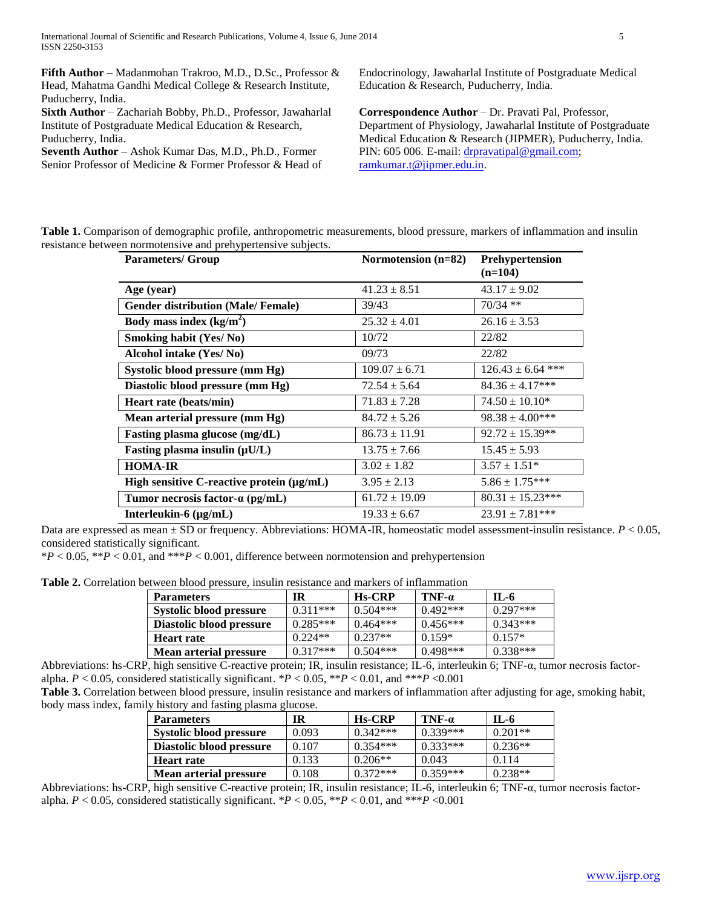**Fifth Author** – Madanmohan Trakroo, M.D., D.Sc., Professor & Head, Mahatma Gandhi Medical College & Research Institute, Puducherry, India.

**Sixth Author** – Zachariah Bobby, Ph.D., Professor, Jawaharlal Institute of Postgraduate Medical Education & Research, Puducherry, India.

**Seventh Author** – Ashok Kumar Das, M.D., Ph.D., Former Senior Professor of Medicine & Former Professor & Head of Endocrinology, Jawaharlal Institute of Postgraduate Medical Education & Research, Puducherry, India.

**Correspondence Author** – Dr. Pravati Pal, Professor, Department of Physiology, Jawaharlal Institute of Postgraduate Medical Education & Research (JIPMER), Puducherry, India. PIN: 605 006. E-mail[: drpravatipal@gmail.com;](mailto:drpravatipal@gmail.com) [ramkumar.t@jipmer.edu.in.](mailto:ramkumar.t@jipmer.edu.in)

| Table 1. Comparison of demographic profile, anthropometric measurements, blood pressure, markers of inflammation and insulin |  |  |  |
|------------------------------------------------------------------------------------------------------------------------------|--|--|--|
| resistance between normotensive and prehypertensive subjects.                                                                |  |  |  |

| <b>Parameters/ Group</b>                  | Normotension $(n=82)$ | Prehypertension<br>$(n=104)$ |
|-------------------------------------------|-----------------------|------------------------------|
| Age (year)                                | $41.23 \pm 8.51$      | $43.17 \pm 9.02$             |
| <b>Gender distribution (Male/Female)</b>  | 39/43                 | $70/34$ **                   |
| Body mass index $(kg/m2)$                 | $25.32 \pm 4.01$      | $26.16 \pm 3.53$             |
| Smoking habit (Yes/No)                    | 10/72                 | 22/82                        |
| Alcohol intake (Yes/No)                   | 09/73                 | 22/82                        |
| Systolic blood pressure (mm Hg)           | $109.07 \pm 6.71$     | $126.43 \pm 6.64$ ***        |
| Diastolic blood pressure (mm Hg)          | $72.54 \pm 5.64$      | $84.36 \pm 4.17***$          |
| Heart rate (beats/min)                    | $71.83 \pm 7.28$      | $74.50 \pm 10.10^*$          |
| Mean arterial pressure (mm Hg)            | $84.72 \pm 5.26$      | $98.38 \pm 4.00***$          |
| Fasting plasma glucose (mg/dL)            | $86.73 \pm 11.91$     | $92.72 \pm 15.39**$          |
| Fasting plasma insulin $(\mu U/L)$        | $13.75 \pm 7.66$      | $15.45 \pm 5.93$             |
| <b>HOMA-IR</b>                            | $3.02 \pm 1.82$       | $3.57 \pm 1.51*$             |
| High sensitive C-reactive protein (µg/mL) | $3.95 \pm 2.13$       | $5.86 \pm 1.75***$           |
| Tumor necrosis factor- $\alpha$ (pg/mL)   | $61.72 \pm 19.09$     | $80.31 \pm 15.23***$         |
| Interleukin- $6 \, (\mu g/mL)$            | $19.33 \pm 6.67$      | $23.91 \pm 7.81***$          |

Data are expressed as mean  $\pm$  SD or frequency. Abbreviations: HOMA-IR, homeostatic model assessment-insulin resistance. *P* < 0.05, considered statistically significant.

\**P* < 0.05, \*\**P* < 0.01, and \*\*\**P* < 0.001, difference between normotension and prehypertension

**Table 2.** Correlation between blood pressure, insulin resistance and markers of inflammation

| <b>Parameters</b>             | IR.        | <b>Hs-CRP</b> | $TNF-a$    | IL-6       |
|-------------------------------|------------|---------------|------------|------------|
| Systolic blood pressure       | $0.311***$ | $0.504***$    | $0.492***$ | $0.297***$ |
| Diastolic blood pressure      | $0.285***$ | $0.464***$    | $0.456***$ | $0.343***$ |
| <b>Heart rate</b>             | $0.224**$  | $0.237**$     | $0.159*$   | $0.157*$   |
| <b>Mean arterial pressure</b> | $0.317***$ | $0.504***$    | $0.498***$ | $0.338***$ |

Abbreviations: hs-CRP, high sensitive C-reactive protein; IR, insulin resistance; IL-6, interleukin 6; TNF-α, tumor necrosis factoralpha. *P* < 0.05, considered statistically significant. \**P* < 0.05, \*\**P* < 0.01, and \*\*\**P* <0.001

**Table 3.** Correlation between blood pressure, insulin resistance and markers of inflammation after adjusting for age, smoking habit, body mass index, family history and fasting plasma glucose.

| <b>Parameters</b>              | IR    | <b>Hs-CRP</b> | $TNF-a$    | $IL-6$    |
|--------------------------------|-------|---------------|------------|-----------|
| <b>Systolic blood pressure</b> | 0.093 | $0.342***$    | $0.339***$ | $0.201**$ |
| Diastolic blood pressure       | 0.107 | $0.354***$    | $0.333***$ | $0.236**$ |
| <b>Heart rate</b>              | 0.133 | $0.206**$     | 0.043      | 0.114     |
| <b>Mean arterial pressure</b>  | 0.108 | $0.372***$    | $0.359***$ | $0.238**$ |

Abbreviations: hs-CRP, high sensitive C-reactive protein; IR, insulin resistance; IL-6, interleukin 6; TNF-α, tumor necrosis factoralpha.  $P < 0.05$ , considered statistically significant. \* $P < 0.05$ , \*\* $P < 0.01$ , and \*\*\* $P < 0.001$